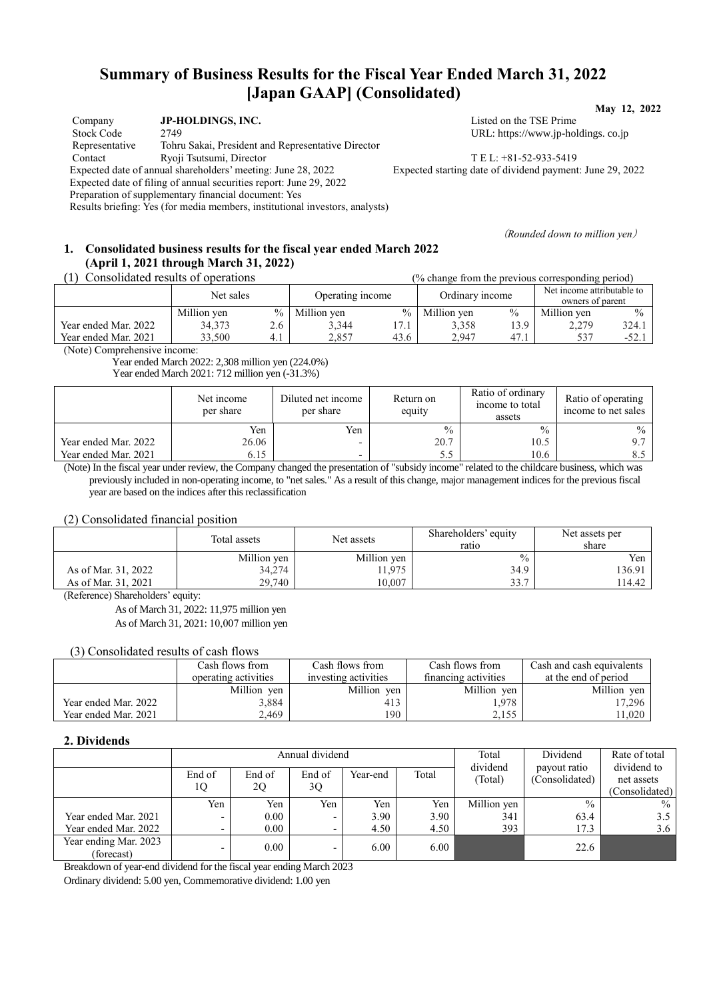## **Summary of Business Results for the Fiscal Year Ended March 31, 2022 [Japan GAAP] (Consolidated) May 12, 2022**

| Company                                                            | JP-HOLDINGS, INC.                                            |  |  |  |  |
|--------------------------------------------------------------------|--------------------------------------------------------------|--|--|--|--|
| <b>Stock Code</b>                                                  | 2749                                                         |  |  |  |  |
| Representative                                                     | Tohru Sakai, President and Representative Director           |  |  |  |  |
| Contact                                                            | Ryoji Tsutsumi, Director                                     |  |  |  |  |
|                                                                    | Expected date of annual shareholders' meeting: June 28, 2022 |  |  |  |  |
| Expected date of filing of annual securities report: June 29, 2022 |                                                              |  |  |  |  |
| Preparation of supplementary financial document: Yes               |                                                              |  |  |  |  |

Results briefing: Yes (for media members, institutional investors, analysts)

Listed on the TSE Prime URL: https://www.jp-holdings. co.jp

TEL: +81-52-933-5419 Expected starting date of dividend payment: June 29, 2022

(*Rounded down to million yen*)

## **1. Consolidated business results for the fiscal year ended March 2022 (April 1, 2021 through March 31, 2022)**

| Consolidated results of operations<br>(% change from the previous corresponding period) |             |     |                  |      |                 |      |                                                |               |
|-----------------------------------------------------------------------------------------|-------------|-----|------------------|------|-----------------|------|------------------------------------------------|---------------|
|                                                                                         | Net sales   |     | Operating income |      | Ordinary income |      | Net income attributable to<br>owners of parent |               |
|                                                                                         | Million yen |     | % Million yen    | $\%$ | Million yen     | $\%$ | Million yen                                    | $\frac{0}{0}$ |
| Year ended Mar. 2022                                                                    | 34,373      | 2.6 | 3.344            | 17.1 | 3.358           | 13.9 | 2.279                                          | 324.1         |
| Year ended Mar. 2021                                                                    | 33.500      | 4.1 | 2.857            | 43.6 | 2.947           | 47.i | 537                                            | $-52.1$       |

(Note) Comprehensive income:

 Year ended March 2022: 2,308 million yen (224.0%) Year ended March 2021: 712 million yen (-31.3%)

Net income per share Diluted net income per share Return on equity Ratio of ordinary income to total assets Ratio of operating income to net sales Yen Yen % % % Vear ended Mar. 2022 <br>
Year ended Mar. 2021 <br>
26.06 - 20.7 20.7 10.5 10.6 9.7 Year ended Mar. 2021

(Note) In the fiscal year under review, the Company changed the presentation of "subsidy income" related to the childcare business, which was previously included in non-operating income, to "net sales." As a result of this change, major management indices for the previous fiscal year are based on the indices after this reclassification

#### (2) Consolidated financial position

|                     | Total assets | Net assets  | Shareholders' equity<br>ratio | Net assets per<br>share |
|---------------------|--------------|-------------|-------------------------------|-------------------------|
|                     | Million yen  | Million yen | $\%$                          | Yen                     |
| As of Mar. 31, 2022 | 34,274       | 1,975       | 34.9                          | 136.91                  |
| As of Mar. 31, 2021 | 29,740       | 10.007      | 33.7                          | 114.42                  |

(Reference) Shareholders' equity:

As of March 31, 2022: 11,975 million yen

As of March 31, 2021: 10,007 million yen

#### (3) Consolidated results of cash flows

|                      | Cash flows from<br>Cash flows from |                      | Cash flows from      | Cash and cash equivalents |
|----------------------|------------------------------------|----------------------|----------------------|---------------------------|
|                      | operating activities               | investing activities | financing activities | at the end of period      |
|                      | Million yen                        | Million yen          | Million yen          | Million ven               |
| Year ended Mar. 2022 | 3,884                              | 413                  | 1.978                | 7.296                     |
| Year ended Mar. 2021 | 2.469                              | 190                  | 2.155                | 1,020                     |

### **2. Dividends**

|                                     | Annual dividend          |              |                          |          | Total | Dividend           | Rate of total                  |                                             |
|-------------------------------------|--------------------------|--------------|--------------------------|----------|-------|--------------------|--------------------------------|---------------------------------------------|
|                                     | End of<br>1Q             | End of<br>2Q | End of<br>3Q             | Year-end | Total | dividend<br>Total) | payout ratio<br>(Consolidated) | dividend to<br>net assets<br>(Consolidated) |
|                                     | Yen                      | Yen          | Yen                      | Yen      | Yen   | Million yen        | $\frac{0}{0}$                  | $\frac{0}{0}$                               |
| Year ended Mar. 2021                | $\overline{\phantom{0}}$ | 0.00         | $\overline{\phantom{0}}$ | 3.90     | 3.90  | 341                | 63.4                           | 3.5                                         |
| Year ended Mar. 2022                | -                        | 0.00         |                          | 4.50     | 4.50  | 393                | 17.3                           | 3.6                                         |
| Year ending Mar. 2023<br>(forecast) | -                        | 0.00         | $\overline{\phantom{0}}$ | 6.00     | 6.00  |                    | 22.6                           |                                             |

Breakdown of year-end dividend for the fiscal year ending March 2023

Ordinary dividend: 5.00 yen, Commemorative dividend: 1.00 yen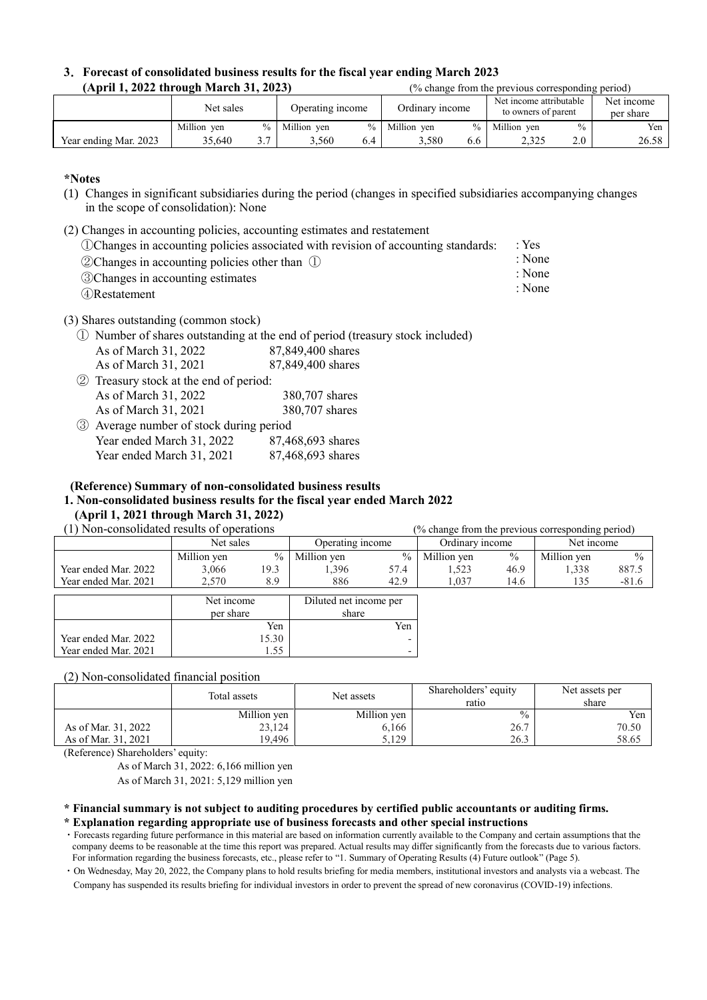|                                        | 3. Forecast of consolidated business results for the fiscal year ending March 2023 |
|----------------------------------------|------------------------------------------------------------------------------------|
| (April 1, 2022 through March 31, 2023) | (% change from the previous corresponding period)                                  |

|                       | Net sales   |               | Operating income |     | Ordinary income |               | Net income attributable<br>to owners of parent |               | Net income<br>per share |
|-----------------------|-------------|---------------|------------------|-----|-----------------|---------------|------------------------------------------------|---------------|-------------------------|
|                       | Million ven | $\frac{0}{0}$ | Million ven      | 0/2 | Million ven     | $\frac{0}{0}$ | Million ven                                    | $\frac{0}{0}$ | Yen                     |
| Year ending Mar. 2023 | 35.640      | э.,           | 3.560            | 6.4 | 580.د           | 6.6           | 2.325                                          | 2.0           | 26.58                   |

#### **\*Notes**

- (1) Changes in significant subsidiaries during the period (changes in specified subsidiaries accompanying changes in the scope of consolidation): None
- (2) Changes in accounting policies, accounting estimates and restatement
	- ①Changes in accounting policies associated with revision of accounting standards:
	- ②Changes in accounting policies other than ①
	- ③Changes in accounting estimates
	- ④Restatement

(3) Shares outstanding (common stock)

- ① Number of shares outstanding at the end of period (treasury stock included) As of March 31, 2022 As of March 31, 2021 87,849,400 shares 87,849,400 shares ② Treasury stock at the end of period: As of March 31, 2022 As of March 31, 2021 380,707 shares 380,707 shares
- ③ Average number of stock during period Year ended March 31, 2022 Year ended March 31, 2021 87,468,693 shares 87,468,693 shares

#### **(Reference) Summary of non-consolidated business results**

### **1. Non-consolidated business results for the fiscal year ended March 2022 (April 1, 2021 through March 31, 2022)**

(1) Non-consolidated results of operations (% change from the previous corresponding period)

| 1) indi-consondated results of operations | 70 change from the previous corresponding period) |                                               |             |                 |             |            |             |               |
|-------------------------------------------|---------------------------------------------------|-----------------------------------------------|-------------|-----------------|-------------|------------|-------------|---------------|
|                                           | Operating income<br>Net sales                     |                                               |             | Ordinary income |             | Net income |             |               |
|                                           | Million yen                                       | $\frac{0}{0}$                                 | Million yen | $\frac{0}{0}$   | Million yen | $\%$       | Million yen | $\frac{0}{0}$ |
| Year ended Mar. 2022                      | 3,066                                             | 19.3                                          | 1.396       | 57.4            | 1,523       | 46.9       | 1,338       | 887.5         |
| Year ended Mar. 2021                      | 2,570                                             | 8.9                                           | 886         | 42.9            | 1,037       | 14.6       | 135         | $-81.6$       |
|                                           | per share                                         | Net income<br>Diluted net income per<br>share |             |                 |             |            |             |               |
|                                           |                                                   | Yen                                           |             | Yen             |             |            |             |               |
| Year ended Mar. 2022                      |                                                   | 15.30                                         |             | -               |             |            |             |               |
| Year ended Mar. 2021                      |                                                   | .55                                           |             | -               |             |            |             |               |

(2) Non-consolidated financial position

|                     | Total assets | Shareholders' equity<br>Net assets |               | Net assets per<br>share |
|---------------------|--------------|------------------------------------|---------------|-------------------------|
|                     | Million yen  | Million yen                        | $\frac{0}{0}$ | Yen                     |
| As of Mar. 31, 2022 | 23,124       | 6,166                              | 26.7          | 70.50                   |
| As of Mar. 31, 2021 | 19.496       | 5.129                              | 26.3          | 58.65                   |

(Reference) Shareholders' equity:

As of March 31, 2022: 6,166 million yen As of March 31, 2021: 5,129 million yen

### **\* Financial summary is not subject to auditing procedures by certified public accountants or auditing firms.**

**\* Explanation regarding appropriate use of business forecasts and other special instructions**

- ・Forecasts regarding future performance in this material are based on information currently available to the Company and certain assumptions that the company deems to be reasonable at the time this report was prepared. Actual results may differ significantly from the forecasts due to various factors. For information regarding the business forecasts, etc., please refer to "1. Summary of Operating Results (4) Future outlook" (Page 5).
- ・On Wednesday, May 20, 2022, the Company plans to hold results briefing for media members, institutional investors and analysts via a webcast. The Company has suspended its results briefing for individual investors in order to prevent the spread of new coronavirus (COVID-19) infections.

: Yes : None

: None

: None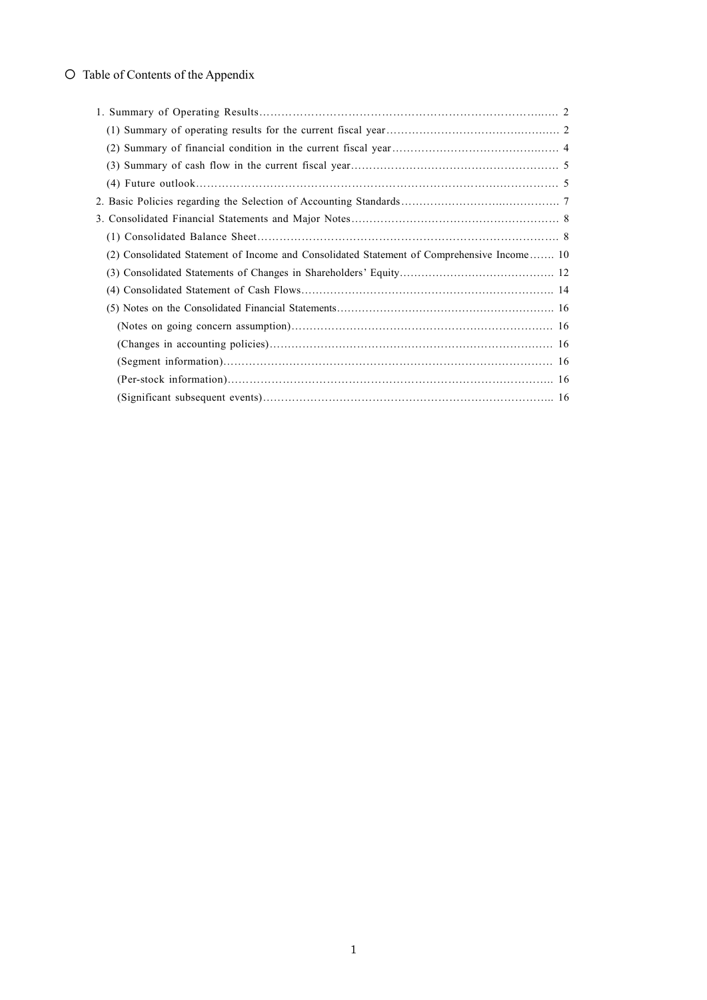# 〇 Table of Contents of the Appendix

| (2) Consolidated Statement of Income and Consolidated Statement of Comprehensive Income 10 |  |
|--------------------------------------------------------------------------------------------|--|
|                                                                                            |  |
|                                                                                            |  |
|                                                                                            |  |
|                                                                                            |  |
|                                                                                            |  |
|                                                                                            |  |
|                                                                                            |  |
|                                                                                            |  |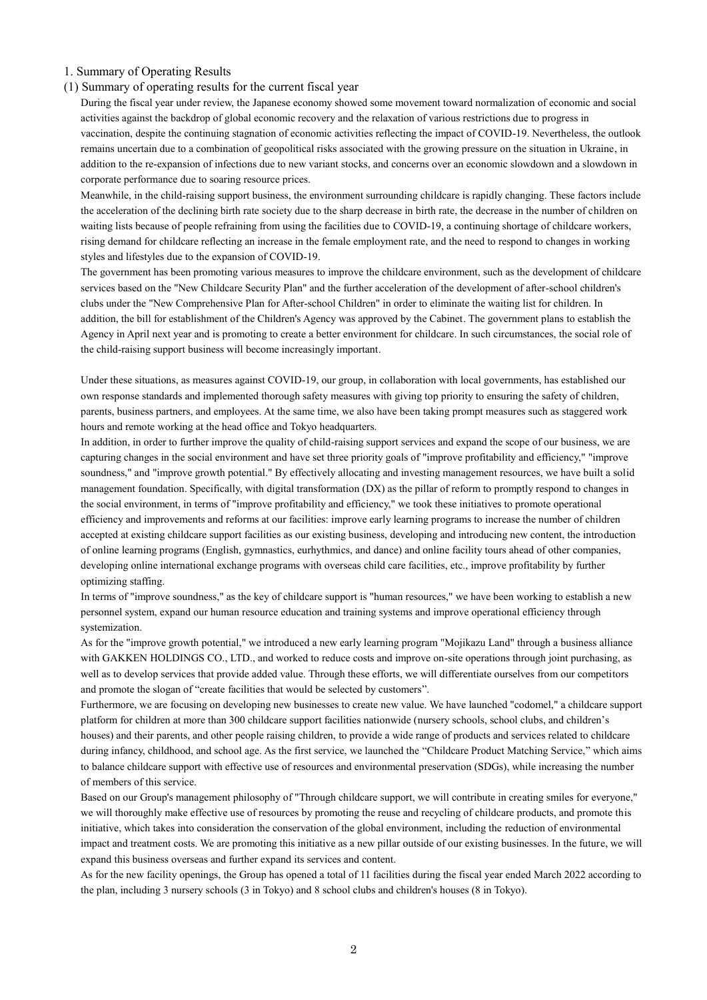### 1. Summary of Operating Results

### (1) Summary of operating results for the current fiscal year

During the fiscal year under review, the Japanese economy showed some movement toward normalization of economic and social activities against the backdrop of global economic recovery and the relaxation of various restrictions due to progress in vaccination, despite the continuing stagnation of economic activities reflecting the impact of COVID-19. Nevertheless, the outlook remains uncertain due to a combination of geopolitical risks associated with the growing pressure on the situation in Ukraine, in addition to the re-expansion of infections due to new variant stocks, and concerns over an economic slowdown and a slowdown in corporate performance due to soaring resource prices.

Meanwhile, in the child-raising support business, the environment surrounding childcare is rapidly changing. These factors include the acceleration of the declining birth rate society due to the sharp decrease in birth rate, the decrease in the number of children on waiting lists because of people refraining from using the facilities due to COVID-19, a continuing shortage of childcare workers, rising demand for childcare reflecting an increase in the female employment rate, and the need to respond to changes in working styles and lifestyles due to the expansion of COVID-19.

The government has been promoting various measures to improve the childcare environment, such as the development of childcare services based on the "New Childcare Security Plan" and the further acceleration of the development of after-school children's clubs under the "New Comprehensive Plan for After-school Children" in order to eliminate the waiting list for children. In addition, the bill for establishment of the Children's Agency was approved by the Cabinet. The government plans to establish the Agency in April next year and is promoting to create a better environment for childcare. In such circumstances, the social role of the child-raising support business will become increasingly important.

Under these situations, as measures against COVID-19, our group, in collaboration with local governments, has established our own response standards and implemented thorough safety measures with giving top priority to ensuring the safety of children, parents, business partners, and employees. At the same time, we also have been taking prompt measures such as staggered work hours and remote working at the head office and Tokyo headquarters.

In addition, in order to further improve the quality of child-raising support services and expand the scope of our business, we are capturing changes in the social environment and have set three priority goals of "improve profitability and efficiency," "improve soundness," and "improve growth potential." By effectively allocating and investing management resources, we have built a solid management foundation. Specifically, with digital transformation (DX) as the pillar of reform to promptly respond to changes in the social environment, in terms of "improve profitability and efficiency," we took these initiatives to promote operational efficiency and improvements and reforms at our facilities: improve early learning programs to increase the number of children accepted at existing childcare support facilities as our existing business, developing and introducing new content, the introduction of online learning programs (English, gymnastics, eurhythmics, and dance) and online facility tours ahead of other companies, developing online international exchange programs with overseas child care facilities, etc., improve profitability by further optimizing staffing.

In terms of "improve soundness," as the key of childcare support is "human resources," we have been working to establish a new personnel system, expand our human resource education and training systems and improve operational efficiency through systemization.

As for the "improve growth potential," we introduced a new early learning program "Mojikazu Land" through a business alliance with GAKKEN HOLDINGS CO., LTD., and worked to reduce costs and improve on-site operations through joint purchasing, as well as to develop services that provide added value. Through these efforts, we will differentiate ourselves from our competitors and promote the slogan of "create facilities that would be selected by customers".

Furthermore, we are focusing on developing new businesses to create new value. We have launched "codomel," a childcare support platform for children at more than 300 childcare support facilities nationwide (nursery schools, school clubs, and children's houses) and their parents, and other people raising children, to provide a wide range of products and services related to childcare during infancy, childhood, and school age. As the first service, we launched the "Childcare Product Matching Service," which aims to balance childcare support with effective use of resources and environmental preservation (SDGs), while increasing the number of members of this service.

Based on our Group's management philosophy of "Through childcare support, we will contribute in creating smiles for everyone," we will thoroughly make effective use of resources by promoting the reuse and recycling of childcare products, and promote this initiative, which takes into consideration the conservation of the global environment, including the reduction of environmental impact and treatment costs. We are promoting this initiative as a new pillar outside of our existing businesses. In the future, we will expand this business overseas and further expand its services and content.

As for the new facility openings, the Group has opened a total of 11 facilities during the fiscal year ended March 2022 according to the plan, including 3 nursery schools (3 in Tokyo) and 8 school clubs and children's houses (8 in Tokyo).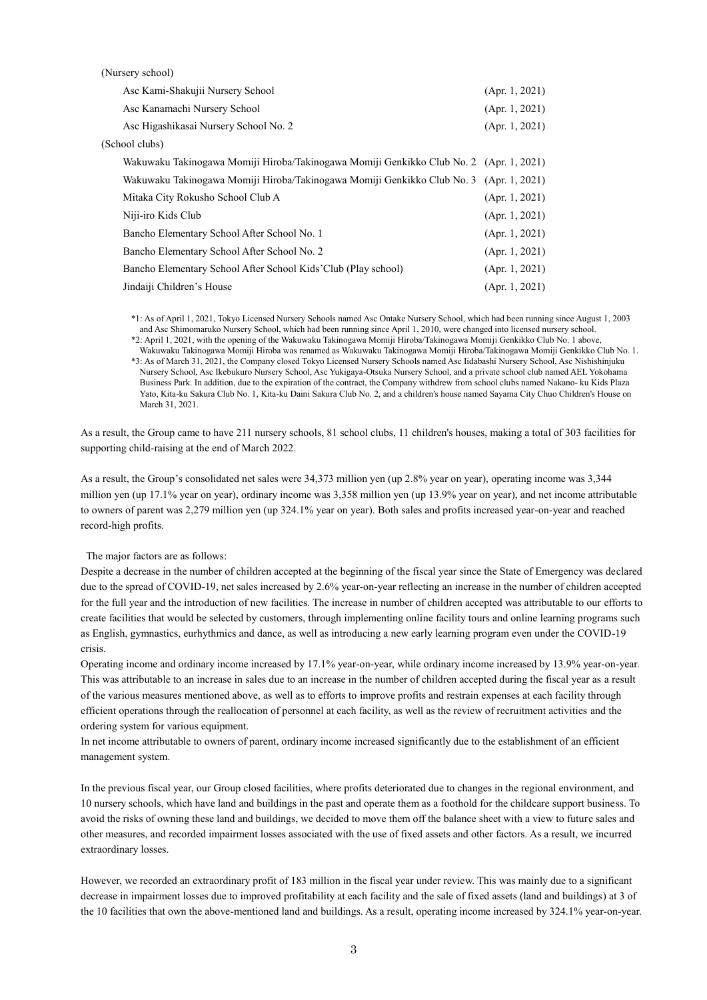| Asc Kami-Shakujii Nursery School                                                       | (Apr. 1, 2021) |
|----------------------------------------------------------------------------------------|----------------|
| Asc Kanamachi Nursery School                                                           | (Apr. 1, 2021) |
| Asc Higashikasai Nursery School No. 2                                                  | (Apr. 1, 2021) |
| (School clubs)                                                                         |                |
| Wakuwaku Takinogawa Momiji Hiroba/Takinogawa Momiji Genkikko Club No. 2 (Apr. 1, 2021) |                |
| Wakuwaku Takinogawa Momiji Hiroba/Takinogawa Momiji Genkikko Club No. 3 (Apr. 1, 2021) |                |
| Mitaka City Rokusho School Club A                                                      | (Apr. 1, 2021) |
| Niji-iro Kids Club                                                                     | (Apr. 1, 2021) |
| Bancho Elementary School After School No. 1                                            | (Apr. 1, 2021) |
| Bancho Elementary School After School No. 2                                            | (Apr. 1, 2021) |
| Bancho Elementary School After School Kids'Club (Play school)                          | (Apr. 1, 2021) |
| Jindaiji Children's House                                                              | (Apr. 1, 2021) |

\*1: As of April 1, 2021, Tokyo Licensed Nursery Schools named Asc Ontake Nursery School, which had been running since August 1, 2003 and Asc Shimomaruko Nursery School, which had been running since April 1, 2010, were changed into licensed nursery school.

\*2: April 1, 2021, with the opening of the Wakuwaku Takinogawa Momiji Hiroba/Takinogawa Momiji Genkikko Club No. 1 above, Wakuwaku Takinogawa Momiji Hiroba was renamed as Wakuwaku Takinogawa Momiji Hiroba/Takinogawa Momiji Genkikko Club No. 1. \*3: As of March 31, 2021, the Company closed Tokyo Licensed Nursery Schools named Asc Iidabashi Nursery School, Asc Nishishinjuku Nursery School, Asc Ikebukuro Nursery School, Asc Yukigaya-Otsuka Nursery School, and a private school club named AEL Yokohama Business Park. In addition, due to the expiration of the contract, the Company withdrew from school clubs named Nakano- ku Kids Plaza Yato, Kita-ku Sakura Club No. 1, Kita-ku Daini Sakura Club No. 2, and a children's house named Sayama City Chuo Children's House on March 31, 2021.

As a result, the Group came to have 211 nursery schools, 81 school clubs, 11 children's houses, making a total of 303 facilities for supporting child-raising at the end of March 2022.

As a result, the Group's consolidated net sales were 34,373 million yen (up 2.8% year on year), operating income was 3,344 million yen (up 17.1% year on year), ordinary income was 3,358 million yen (up 13.9% year on year), and net income attributable to owners of parent was 2,279 million yen (up 324.1% year on year). Both sales and profits increased year-on-year and reached record-high profits.

The major factors are as follows:

Despite a decrease in the number of children accepted at the beginning of the fiscal year since the State of Emergency was declared due to the spread of COVID-19, net sales increased by 2.6% year-on-year reflecting an increase in the number of children accepted for the full year and the introduction of new facilities. The increase in number of children accepted was attributable to our efforts to create facilities that would be selected by customers, through implementing online facility tours and online learning programs such as English, gymnastics, eurhythmics and dance, as well as introducing a new early learning program even under the COVID-19 crisis.

Operating income and ordinary income increased by 17.1% year-on-year, while ordinary income increased by 13.9% year-on-year. This was attributable to an increase in sales due to an increase in the number of children accepted during the fiscal year as a result of the various measures mentioned above, as well as to efforts to improve profits and restrain expenses at each facility through efficient operations through the reallocation of personnel at each facility, as well as the review of recruitment activities and the ordering system for various equipment.

In net income attributable to owners of parent, ordinary income increased significantly due to the establishment of an efficient management system.

In the previous fiscal year, our Group closed facilities, where profits deteriorated due to changes in the regional environment, and 10 nursery schools, which have land and buildings in the past and operate them as a foothold for the childcare support business. To avoid the risks of owning these land and buildings, we decided to move them off the balance sheet with a view to future sales and other measures, and recorded impairment losses associated with the use of fixed assets and other factors. As a result, we incurred extraordinary losses.

However, we recorded an extraordinary profit of 183 million in the fiscal year under review. This was mainly due to a significant decrease in impairment losses due to improved profitability at each facility and the sale of fixed assets (land and buildings) at 3 of the 10 facilities that own the above-mentioned land and buildings. As a result, operating income increased by 324.1% year-on-year.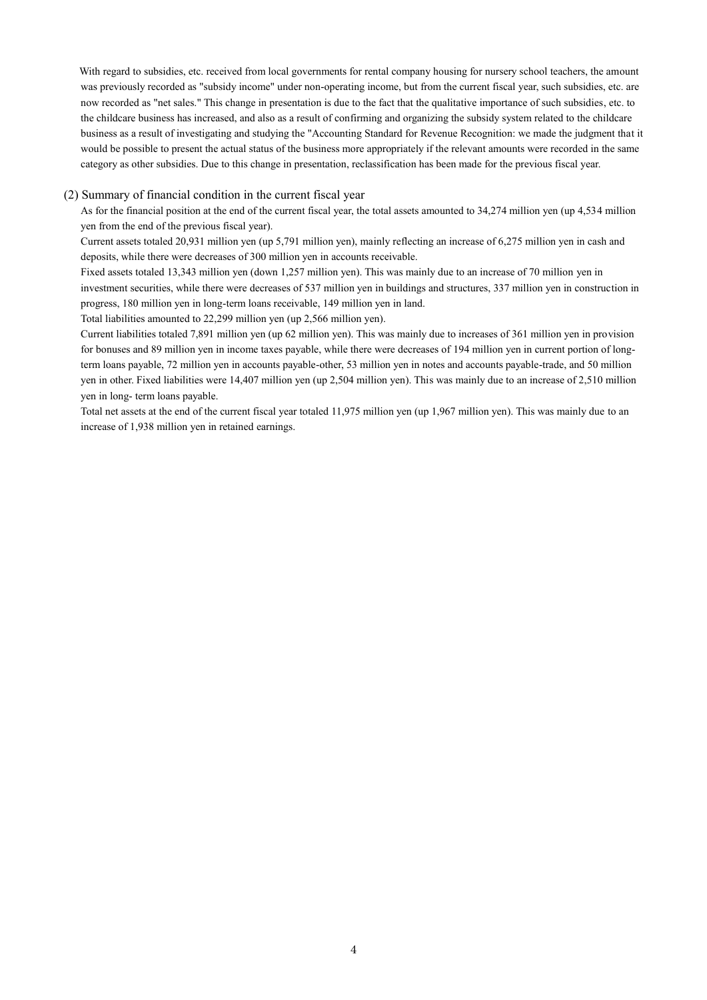With regard to subsidies, etc. received from local governments for rental company housing for nursery school teachers, the amount was previously recorded as "subsidy income" under non-operating income, but from the current fiscal year, such subsidies, etc. are now recorded as "net sales." This change in presentation is due to the fact that the qualitative importance of such subsidies, etc. to the childcare business has increased, and also as a result of confirming and organizing the subsidy system related to the childcare business as a result of investigating and studying the "Accounting Standard for Revenue Recognition: we made the judgment that it would be possible to present the actual status of the business more appropriately if the relevant amounts were recorded in the same category as other subsidies. Due to this change in presentation, reclassification has been made for the previous fiscal year.

#### (2) Summary of financial condition in the current fiscal year

As for the financial position at the end of the current fiscal year, the total assets amounted to 34,274 million yen (up 4,534 million yen from the end of the previous fiscal year).

Current assets totaled 20,931 million yen (up 5,791 million yen), mainly reflecting an increase of 6,275 million yen in cash and deposits, while there were decreases of 300 million yen in accounts receivable.

Fixed assets totaled 13,343 million yen (down 1,257 million yen). This was mainly due to an increase of 70 million yen in investment securities, while there were decreases of 537 million yen in buildings and structures, 337 million yen in construction in progress, 180 million yen in long-term loans receivable, 149 million yen in land.

Total liabilities amounted to 22,299 million yen (up 2,566 million yen).

Current liabilities totaled 7,891 million yen (up 62 million yen). This was mainly due to increases of 361 million yen in provision for bonuses and 89 million yen in income taxes payable, while there were decreases of 194 million yen in current portion of longterm loans payable, 72 million yen in accounts payable-other, 53 million yen in notes and accounts payable-trade, and 50 million yen in other. Fixed liabilities were 14,407 million yen (up 2,504 million yen). This was mainly due to an increase of 2,510 million yen in long- term loans payable.

Total net assets at the end of the current fiscal year totaled 11,975 million yen (up 1,967 million yen). This was mainly due to an increase of 1,938 million yen in retained earnings.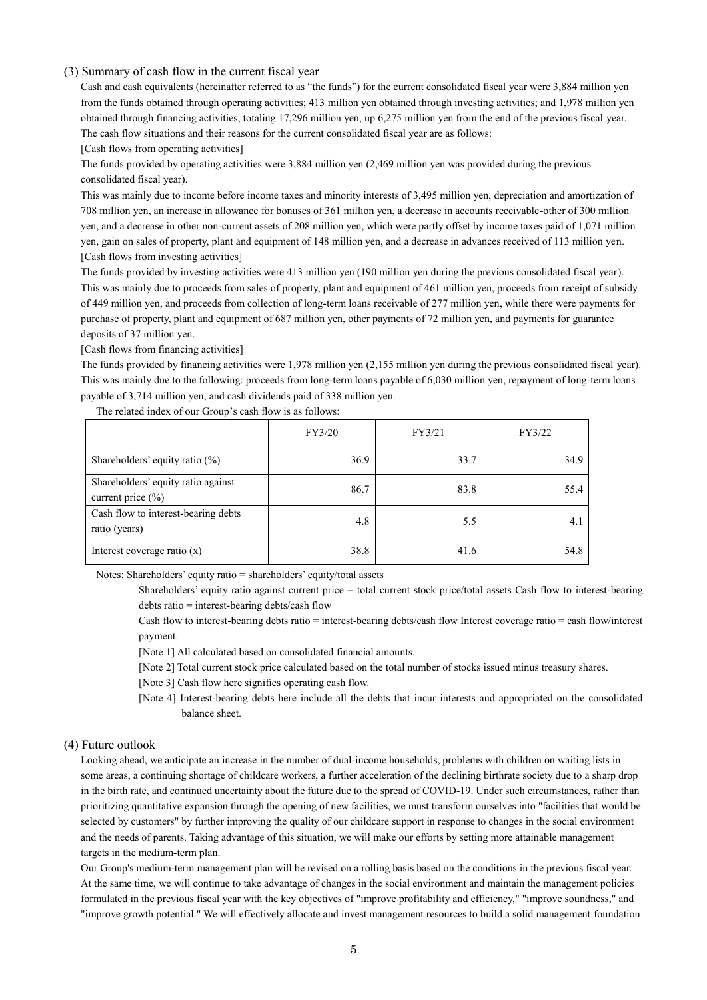#### (3) Summary of cash flow in the current fiscal year

Cash and cash equivalents (hereinafter referred to as "the funds") for the current consolidated fiscal year were 3,884 million yen from the funds obtained through operating activities; 413 million yen obtained through investing activities; and 1,978 million yen obtained through financing activities, totaling 17,296 million yen, up 6,275 million yen from the end of the previous fiscal year. The cash flow situations and their reasons for the current consolidated fiscal year are as follows:

[Cash flows from operating activities]

The funds provided by operating activities were 3,884 million yen (2,469 million yen was provided during the previous consolidated fiscal year).

This was mainly due to income before income taxes and minority interests of 3,495 million yen, depreciation and amortization of 708 million yen, an increase in allowance for bonuses of 361 million yen, a decrease in accounts receivable-other of 300 million yen, and a decrease in other non-current assets of 208 million yen, which were partly offset by income taxes paid of 1,071 million yen, gain on sales of property, plant and equipment of 148 million yen, and a decrease in advances received of 113 million yen. [Cash flows from investing activities]

The funds provided by investing activities were 413 million yen (190 million yen during the previous consolidated fiscal year). This was mainly due to proceeds from sales of property, plant and equipment of 461 million yen, proceeds from receipt of subsidy of 449 million yen, and proceeds from collection of long-term loans receivable of 277 million yen, while there were payments for purchase of property, plant and equipment of 687 million yen, other payments of 72 million yen, and payments for guarantee deposits of 37 million yen.

[Cash flows from financing activities]

The funds provided by financing activities were 1,978 million yen (2,155 million yen during the previous consolidated fiscal year). This was mainly due to the following: proceeds from long-term loans payable of 6,030 million yen, repayment of long-term loans payable of 3,714 million yen, and cash dividends paid of 338 million yen.

|                                                             | FY3/20 | FY3/21 | FY3/22 |
|-------------------------------------------------------------|--------|--------|--------|
| Shareholders' equity ratio (%)                              | 36.9   | 33.7   | 34.9   |
| Shareholders' equity ratio against<br>current price $(\% )$ | 86.7   | 83.8   | 55.4   |
| Cash flow to interest-bearing debts<br>ratio (years)        | 4.8    | 5.5    | 4.1    |
| Interest coverage ratio $(x)$                               | 38.8   | 41.6   | 54.8   |

The related index of our Group's cash flow is as follows:

Notes: Shareholders' equity ratio = shareholders' equity/total assets

Shareholders' equity ratio against current price = total current stock price/total assets Cash flow to interest-bearing debts ratio = interest-bearing debts/cash flow

Cash flow to interest-bearing debts ratio = interest-bearing debts/cash flow Interest coverage ratio = cash flow/interest payment.

[Note 1] All calculated based on consolidated financial amounts.

[Note 2] Total current stock price calculated based on the total number of stocks issued minus treasury shares.

[Note 3] Cash flow here signifies operating cash flow.

[Note 4] Interest-bearing debts here include all the debts that incur interests and appropriated on the consolidated balance sheet.

#### (4) Future outlook

Looking ahead, we anticipate an increase in the number of dual-income households, problems with children on waiting lists in some areas, a continuing shortage of childcare workers, a further acceleration of the declining birthrate society due to a sharp drop in the birth rate, and continued uncertainty about the future due to the spread of COVID-19. Under such circumstances, rather than prioritizing quantitative expansion through the opening of new facilities, we must transform ourselves into "facilities that would be selected by customers" by further improving the quality of our childcare support in response to changes in the social environment and the needs of parents. Taking advantage of this situation, we will make our efforts by setting more attainable management targets in the medium-term plan.

Our Group's medium-term management plan will be revised on a rolling basis based on the conditions in the previous fiscal year. At the same time, we will continue to take advantage of changes in the social environment and maintain the management policies formulated in the previous fiscal year with the key objectives of "improve profitability and efficiency," "improve soundness," and "improve growth potential." We will effectively allocate and invest management resources to build a solid management foundation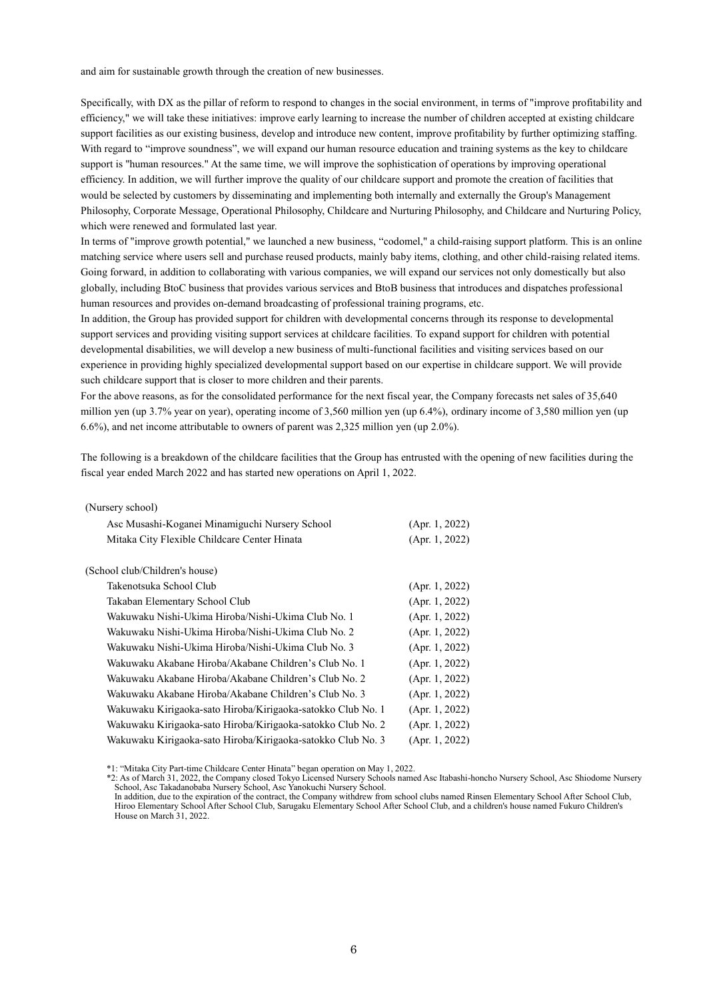and aim for sustainable growth through the creation of new businesses.

Specifically, with DX as the pillar of reform to respond to changes in the social environment, in terms of "improve profitability and efficiency," we will take these initiatives: improve early learning to increase the number of children accepted at existing childcare support facilities as our existing business, develop and introduce new content, improve profitability by further optimizing staffing. With regard to "improve soundness", we will expand our human resource education and training systems as the key to childcare support is "human resources." At the same time, we will improve the sophistication of operations by improving operational efficiency. In addition, we will further improve the quality of our childcare support and promote the creation of facilities that would be selected by customers by disseminating and implementing both internally and externally the Group's Management Philosophy, Corporate Message, Operational Philosophy, Childcare and Nurturing Philosophy, and Childcare and Nurturing Policy, which were renewed and formulated last year.

In terms of "improve growth potential," we launched a new business, "codomel," a child-raising support platform. This is an online matching service where users sell and purchase reused products, mainly baby items, clothing, and other child-raising related items. Going forward, in addition to collaborating with various companies, we will expand our services not only domestically but also globally, including BtoC business that provides various services and BtoB business that introduces and dispatches professional human resources and provides on-demand broadcasting of professional training programs, etc.

In addition, the Group has provided support for children with developmental concerns through its response to developmental support services and providing visiting support services at childcare facilities. To expand support for children with potential developmental disabilities, we will develop a new business of multi-functional facilities and visiting services based on our experience in providing highly specialized developmental support based on our expertise in childcare support. We will provide such childcare support that is closer to more children and their parents.

For the above reasons, as for the consolidated performance for the next fiscal year, the Company forecasts net sales of 35,640 million yen (up 3.7% year on year), operating income of 3,560 million yen (up 6.4%), ordinary income of 3,580 million yen (up 6.6%), and net income attributable to owners of parent was 2,325 million yen (up 2.0%).

The following is a breakdown of the childcare facilities that the Group has entrusted with the opening of new facilities during the fiscal year ended March 2022 and has started new operations on April 1, 2022.

| (Nursery school) |  |
|------------------|--|
|------------------|--|

| Asc Musashi-Koganei Minamiguchi Nursery School              | (Apr. 1, 2022) |
|-------------------------------------------------------------|----------------|
| Mitaka City Flexible Childcare Center Hinata                | (Apr. 1, 2022) |
|                                                             |                |
| (School club/Children's house)                              |                |
| Takenotsuka School Club                                     | (Apr. 1, 2022) |
| Takaban Elementary School Club                              | (Apr. 1, 2022) |
| Wakuwaku Nishi-Ukima Hiroba/Nishi-Ukima Club No. 1          | (Apr. 1, 2022) |
| Wakuwaku Nishi-Ukima Hiroba/Nishi-Ukima Club No. 2          | (Apr. 1, 2022) |
| Wakuwaku Nishi-Ukima Hiroba/Nishi-Ukima Club No. 3          | (Apr. 1, 2022) |
| Wakuwaku Akabane Hiroba/Akabane Children's Club No. 1       | (Apr. 1, 2022) |
| Wakuwaku Akabane Hiroba/Akabane Children's Club No. 2       | (Apr. 1, 2022) |
| Wakuwaku Akabane Hiroba/Akabane Children's Club No. 3       | (Apr. 1, 2022) |
| Wakuwaku Kirigaoka-sato Hiroba/Kirigaoka-satokko Club No. 1 | (Apr. 1, 2022) |
| Wakuwaku Kirigaoka-sato Hiroba/Kirigaoka-satokko Club No. 2 | (Apr. 1, 2022) |
| Wakuwaku Kirigaoka-sato Hiroba/Kirigaoka-satokko Club No. 3 | (Apr. 1, 2022) |
|                                                             |                |

<sup>\*1: &</sup>quot;Mitaka City Part-time Childcare Center Hinata" began operation on May 1, 2022.

<sup>\*2:</sup> As of March 31, 2022, the Company closed Tokyo Licensed Nursery Schools named Asc Itabashi-honcho Nursery School, Asc Shiodome Nursery School, Asc Takadanobaba Nursery School, Asc Yanokuchi Nursery School.

In addition, due to the expiration of the contract, the Company withdrew from school clubs named Rinsen Elementary School After School Club, Hiroo Elementary School After School Club, Sarugaku Elementary School After School Club, and a children's house named Fukuro Children's House on March 31, 2022.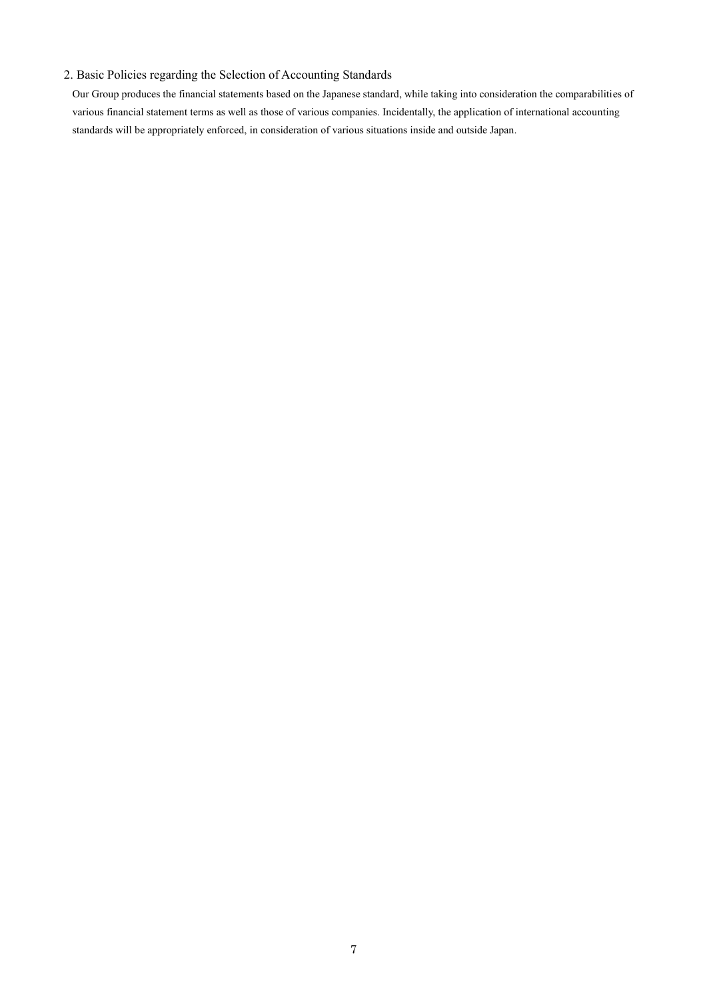## 2. Basic Policies regarding the Selection of Accounting Standards

Our Group produces the financial statements based on the Japanese standard, while taking into consideration the comparabilities of various financial statement terms as well as those of various companies. Incidentally, the application of international accounting standards will be appropriately enforced, in consideration of various situations inside and outside Japan.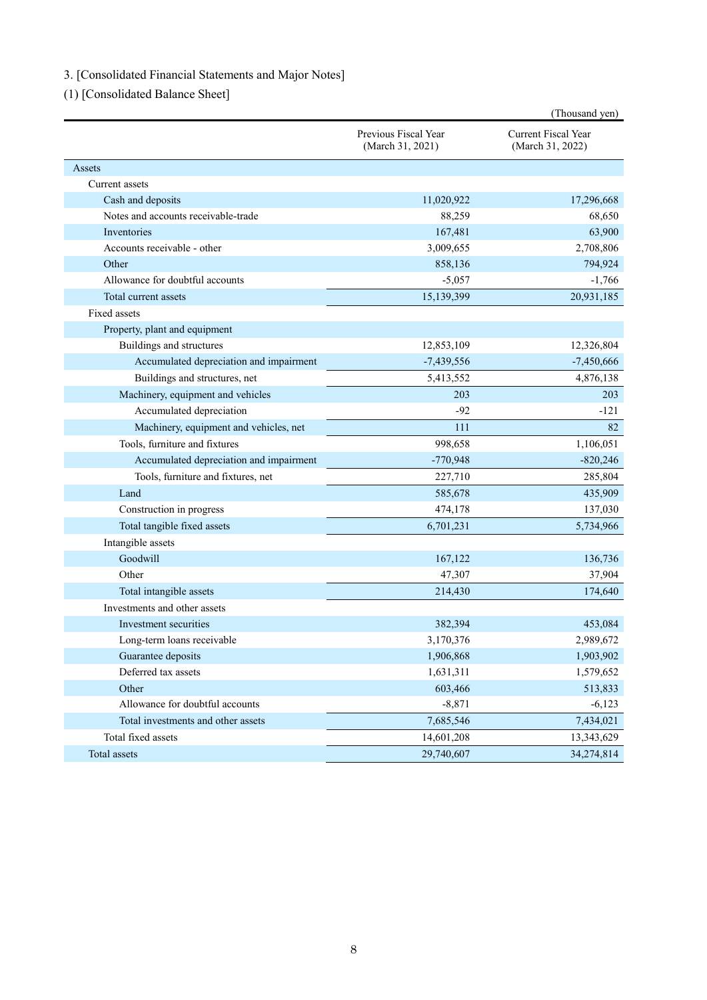# 3. [Consolidated Financial Statements and Major Notes]

(1) [Consolidated Balance Sheet]

|                                         |                                          | (Thousand yen)                          |
|-----------------------------------------|------------------------------------------|-----------------------------------------|
|                                         | Previous Fiscal Year<br>(March 31, 2021) | Current Fiscal Year<br>(March 31, 2022) |
| Assets                                  |                                          |                                         |
| Current assets                          |                                          |                                         |
| Cash and deposits                       | 11,020,922                               | 17,296,668                              |
| Notes and accounts receivable-trade     | 88,259                                   | 68,650                                  |
| Inventories                             | 167,481                                  | 63,900                                  |
| Accounts receivable - other             | 3,009,655                                | 2,708,806                               |
| Other                                   | 858,136                                  | 794,924                                 |
| Allowance for doubtful accounts         | $-5,057$                                 | $-1,766$                                |
| Total current assets                    | 15,139,399                               | 20,931,185                              |
| <b>Fixed assets</b>                     |                                          |                                         |
| Property, plant and equipment           |                                          |                                         |
| Buildings and structures                | 12,853,109                               | 12,326,804                              |
| Accumulated depreciation and impairment | $-7,439,556$                             | $-7,450,666$                            |
| Buildings and structures, net           | 5,413,552                                | 4,876,138                               |
| Machinery, equipment and vehicles       | 203                                      | 203                                     |
| Accumulated depreciation                | $-92$                                    | $-121$                                  |
| Machinery, equipment and vehicles, net  | 111                                      | 82                                      |
| Tools, furniture and fixtures           | 998,658                                  | 1,106,051                               |
| Accumulated depreciation and impairment | $-770,948$                               | $-820,246$                              |
| Tools, furniture and fixtures, net      | 227,710                                  | 285,804                                 |
| Land                                    | 585,678                                  | 435,909                                 |
| Construction in progress                | 474,178                                  | 137,030                                 |
| Total tangible fixed assets             | 6,701,231                                | 5,734,966                               |
| Intangible assets                       |                                          |                                         |
| Goodwill                                | 167,122                                  | 136,736                                 |
| Other                                   | 47,307                                   | 37,904                                  |
| Total intangible assets                 | 214,430                                  | 174,640                                 |
| Investments and other assets            |                                          |                                         |
| Investment securities                   | 382,394                                  | 453,084                                 |
| Long-term loans receivable              | 3,170,376                                | 2,989,672                               |
| Guarantee deposits                      | 1,906,868                                | 1,903,902                               |
| Deferred tax assets                     | 1,631,311                                | 1,579,652                               |
| Other                                   | 603,466                                  | 513,833                                 |
| Allowance for doubtful accounts         | $-8,871$                                 | $-6,123$                                |
| Total investments and other assets      | 7,685,546                                | 7,434,021                               |
| Total fixed assets                      | 14,601,208                               | 13,343,629                              |
| Total assets                            | 29,740,607                               | 34,274,814                              |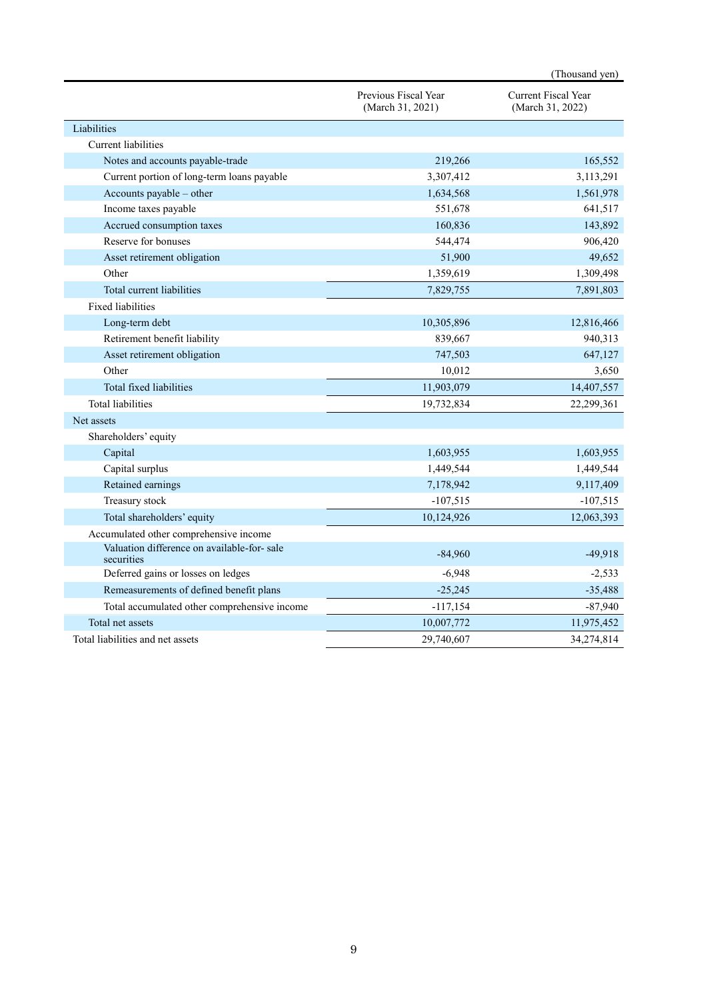|                                                          |                                          | (Thousand yen)                                 |
|----------------------------------------------------------|------------------------------------------|------------------------------------------------|
|                                                          | Previous Fiscal Year<br>(March 31, 2021) | <b>Current Fiscal Year</b><br>(March 31, 2022) |
| Liabilities                                              |                                          |                                                |
| Current liabilities                                      |                                          |                                                |
| Notes and accounts payable-trade                         | 219,266                                  | 165,552                                        |
| Current portion of long-term loans payable               | 3,307,412                                | 3,113,291                                      |
| Accounts payable - other                                 | 1,634,568                                | 1,561,978                                      |
| Income taxes payable                                     | 551,678                                  | 641,517                                        |
| Accrued consumption taxes                                | 160,836                                  | 143,892                                        |
| Reserve for bonuses                                      | 544,474                                  | 906,420                                        |
| Asset retirement obligation                              | 51,900                                   | 49,652                                         |
| Other                                                    | 1,359,619                                | 1,309,498                                      |
| Total current liabilities                                | 7,829,755                                | 7,891,803                                      |
| <b>Fixed liabilities</b>                                 |                                          |                                                |
| Long-term debt                                           | 10,305,896                               | 12,816,466                                     |
| Retirement benefit liability                             | 839,667                                  | 940,313                                        |
| Asset retirement obligation                              | 747,503                                  | 647,127                                        |
| Other                                                    | 10,012                                   | 3,650                                          |
| Total fixed liabilities                                  | 11,903,079                               | 14,407,557                                     |
| <b>Total liabilities</b>                                 | 19,732,834                               | 22,299,361                                     |
| Net assets                                               |                                          |                                                |
| Shareholders' equity                                     |                                          |                                                |
| Capital                                                  | 1,603,955                                | 1,603,955                                      |
| Capital surplus                                          | 1,449,544                                | 1,449,544                                      |
| Retained earnings                                        | 7,178,942                                | 9,117,409                                      |
| Treasury stock                                           | $-107,515$                               | $-107,515$                                     |
| Total shareholders' equity                               | 10,124,926                               | 12,063,393                                     |
| Accumulated other comprehensive income                   |                                          |                                                |
| Valuation difference on available-for-sale<br>securities | $-84,960$                                | $-49,918$                                      |
| Deferred gains or losses on ledges                       | $-6,948$                                 | $-2,533$                                       |
| Remeasurements of defined benefit plans                  | $-25,245$                                | $-35,488$                                      |
| Total accumulated other comprehensive income             | $-117,154$                               | $-87,940$                                      |
| Total net assets                                         | 10,007,772                               | 11,975,452                                     |
| Total liabilities and net assets                         | 29,740,607                               | 34,274,814                                     |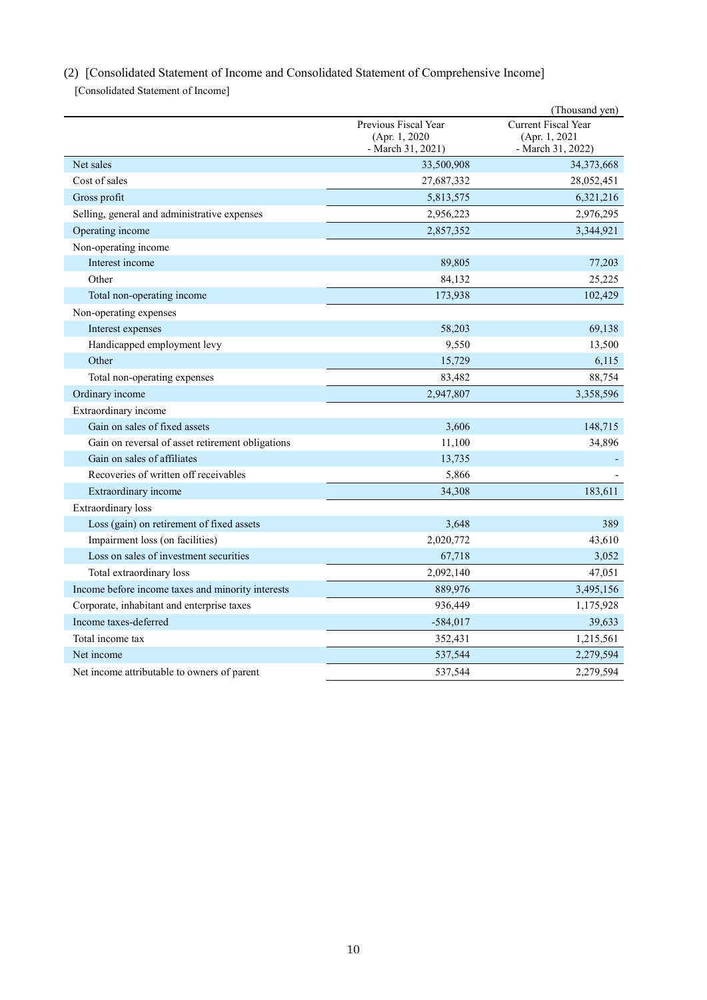# (2) [Consolidated Statement of Income and Consolidated Statement of Comprehensive Income]

[Consolidated Statement of Income]

|                                                   |                                                             | (Thousand yen)                                            |
|---------------------------------------------------|-------------------------------------------------------------|-----------------------------------------------------------|
|                                                   | Previous Fiscal Year<br>(Apr. 1, 2020)<br>- March 31, 2021) | Current Fiscal Year<br>(Apr. 1, 2021<br>- March 31, 2022) |
| Net sales                                         | 33,500,908                                                  | 34,373,668                                                |
| Cost of sales                                     | 27,687,332                                                  | 28,052,451                                                |
| Gross profit                                      | 5,813,575                                                   | 6,321,216                                                 |
| Selling, general and administrative expenses      | 2,956,223                                                   | 2,976,295                                                 |
| Operating income                                  | 2,857,352                                                   | 3,344,921                                                 |
| Non-operating income                              |                                                             |                                                           |
| Interest income                                   | 89,805                                                      | 77,203                                                    |
| Other                                             | 84,132                                                      | 25,225                                                    |
| Total non-operating income                        | 173,938                                                     | 102,429                                                   |
| Non-operating expenses                            |                                                             |                                                           |
| Interest expenses                                 | 58,203                                                      | 69,138                                                    |
| Handicapped employment levy                       | 9,550                                                       | 13,500                                                    |
| Other                                             | 15,729                                                      | 6,115                                                     |
| Total non-operating expenses                      | 83,482                                                      | 88,754                                                    |
| Ordinary income                                   | 2,947,807                                                   | 3,358,596                                                 |
| Extraordinary income                              |                                                             |                                                           |
| Gain on sales of fixed assets                     | 3,606                                                       | 148,715                                                   |
| Gain on reversal of asset retirement obligations  | 11,100                                                      | 34,896                                                    |
| Gain on sales of affiliates                       | 13,735                                                      |                                                           |
| Recoveries of written off receivables             | 5,866                                                       |                                                           |
| Extraordinary income                              | 34,308                                                      | 183,611                                                   |
| <b>Extraordinary</b> loss                         |                                                             |                                                           |
| Loss (gain) on retirement of fixed assets         | 3,648                                                       | 389                                                       |
| Impairment loss (on facilities)                   | 2,020,772                                                   | 43,610                                                    |
| Loss on sales of investment securities            | 67,718                                                      | 3,052                                                     |
| Total extraordinary loss                          | 2,092,140                                                   | 47,051                                                    |
| Income before income taxes and minority interests | 889,976                                                     | 3,495,156                                                 |
| Corporate, inhabitant and enterprise taxes        | 936,449                                                     | 1,175,928                                                 |
| Income taxes-deferred                             | $-584,017$                                                  | 39,633                                                    |
| Total income tax                                  | 352,431                                                     | 1,215,561                                                 |
| Net income                                        | 537,544                                                     | 2,279,594                                                 |
| Net income attributable to owners of parent       | 537,544                                                     | 2,279,594                                                 |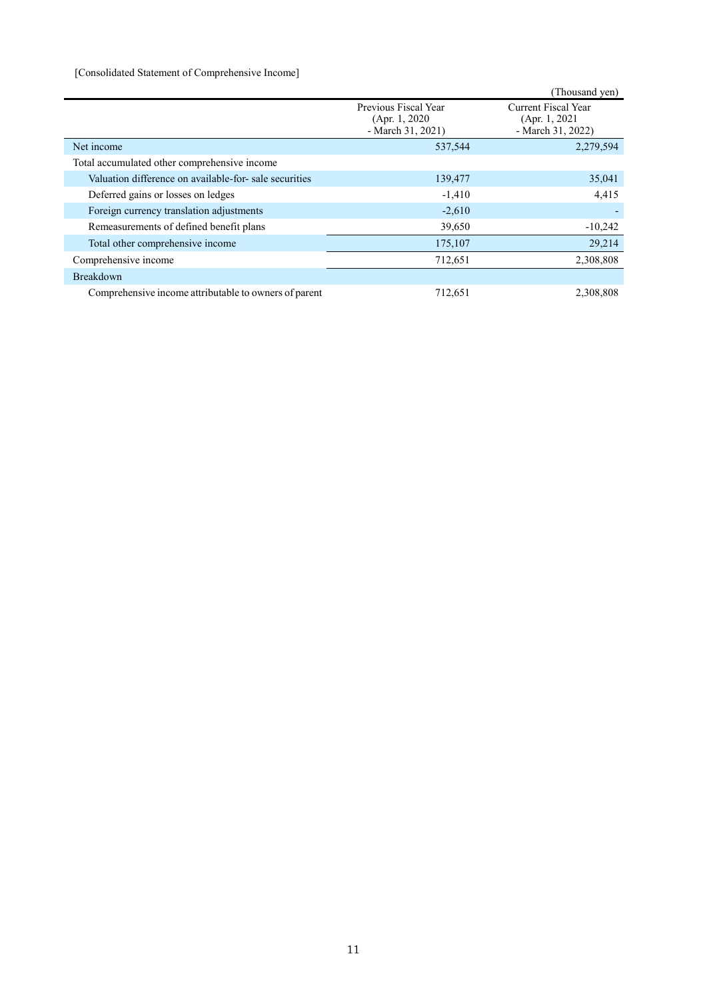### [Consolidated Statement of Comprehensive Income]

|                                                       |                                                             | (Thousand yen)                                             |
|-------------------------------------------------------|-------------------------------------------------------------|------------------------------------------------------------|
|                                                       | Previous Fiscal Year<br>(Apr. 1, 2020)<br>- March 31, 2021) | Current Fiscal Year<br>(Apr. 1, 2021)<br>- March 31, 2022) |
| Net income                                            | 537,544                                                     | 2,279,594                                                  |
| Total accumulated other comprehensive income          |                                                             |                                                            |
| Valuation difference on available-for-sale securities | 139,477                                                     | 35,041                                                     |
| Deferred gains or losses on ledges                    | $-1,410$                                                    | 4,415                                                      |
| Foreign currency translation adjustments              | $-2,610$                                                    |                                                            |
| Remeasurements of defined benefit plans               | 39,650                                                      | $-10,242$                                                  |
| Total other comprehensive income                      | 175,107                                                     | 29,214                                                     |
| Comprehensive income                                  | 712,651                                                     | 2,308,808                                                  |
| <b>Breakdown</b>                                      |                                                             |                                                            |
| Comprehensive income attributable to owners of parent | 712,651                                                     | 2,308,808                                                  |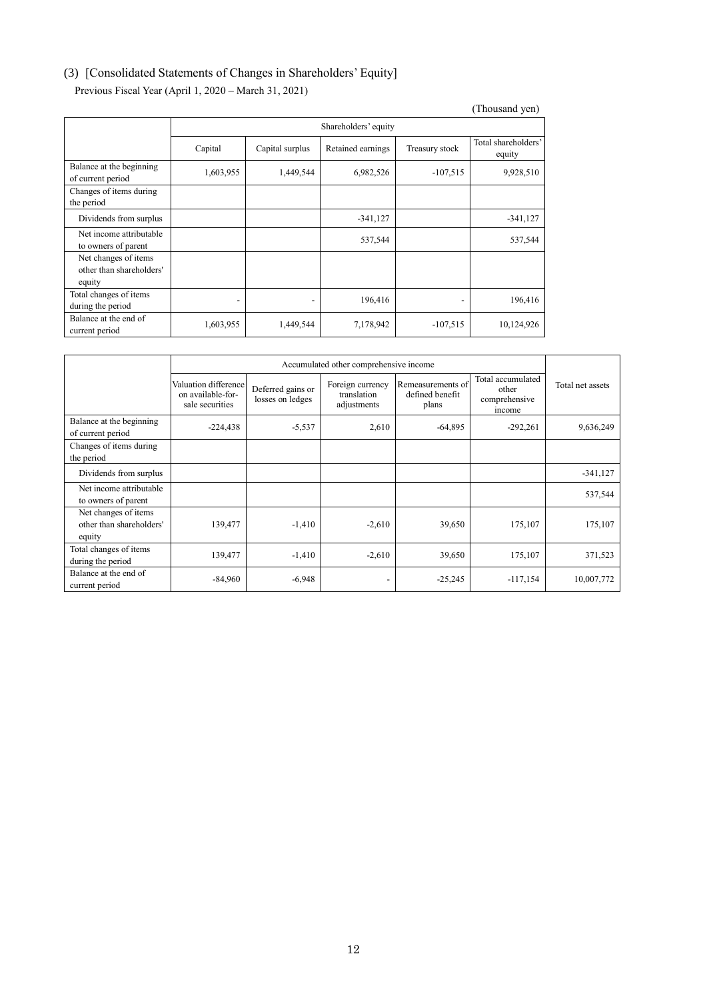# (3) [Consolidated Statements of Changes in Shareholders' Equity]

Previous Fiscal Year (April 1, 2020 – March 31, 2021)

|                                                            |                          |                                                        |                      |                          | (Thousand yen) |  |  |
|------------------------------------------------------------|--------------------------|--------------------------------------------------------|----------------------|--------------------------|----------------|--|--|
|                                                            |                          |                                                        | Shareholders' equity |                          |                |  |  |
|                                                            | Capital                  | Retained earnings<br>Treasury stock<br>Capital surplus |                      |                          |                |  |  |
| Balance at the beginning<br>of current period              | 1,603,955                | 1,449,544                                              | 6,982,526            | $-107,515$               | 9,928,510      |  |  |
| Changes of items during<br>the period                      |                          |                                                        |                      |                          |                |  |  |
| Dividends from surplus                                     |                          |                                                        | $-341,127$           |                          | $-341,127$     |  |  |
| Net income attributable<br>to owners of parent             |                          |                                                        | 537,544              |                          | 537,544        |  |  |
| Net changes of items<br>other than shareholders'<br>equity |                          |                                                        |                      |                          |                |  |  |
| Total changes of items<br>during the period                | $\overline{\phantom{0}}$ | $\overline{\phantom{a}}$                               | 196,416              | $\overline{\phantom{a}}$ | 196,416        |  |  |
| Balance at the end of<br>current period                    | 1,603,955                | 1,449,544                                              | 7,178,942            | $-107,515$               | 10,124,926     |  |  |

|                                                            | Accumulated other comprehensive income                       |                                       |                                                |                                               |                                                       |                  |
|------------------------------------------------------------|--------------------------------------------------------------|---------------------------------------|------------------------------------------------|-----------------------------------------------|-------------------------------------------------------|------------------|
|                                                            | Valuation difference<br>on available-for-<br>sale securities | Deferred gains or<br>losses on ledges | Foreign currency<br>translation<br>adjustments | Remeasurements of<br>defined benefit<br>plans | Total accumulated<br>other<br>comprehensive<br>income | Total net assets |
| Balance at the beginning<br>of current period              | $-224,438$                                                   | $-5,537$                              | 2,610                                          | $-64,895$                                     | $-292,261$                                            | 9,636,249        |
| Changes of items during<br>the period                      |                                                              |                                       |                                                |                                               |                                                       |                  |
| Dividends from surplus                                     |                                                              |                                       |                                                |                                               |                                                       | $-341,127$       |
| Net income attributable<br>to owners of parent             |                                                              |                                       |                                                |                                               |                                                       | 537,544          |
| Net changes of items<br>other than shareholders'<br>equity | 139,477                                                      | $-1,410$                              | $-2,610$                                       | 39,650                                        | 175,107                                               | 175,107          |
| Total changes of items<br>during the period                | 139,477                                                      | $-1,410$                              | $-2,610$                                       | 39,650                                        | 175,107                                               | 371,523          |
| Balance at the end of<br>current period                    | $-84,960$                                                    | $-6,948$                              |                                                | $-25,245$                                     | $-117,154$                                            | 10,007,772       |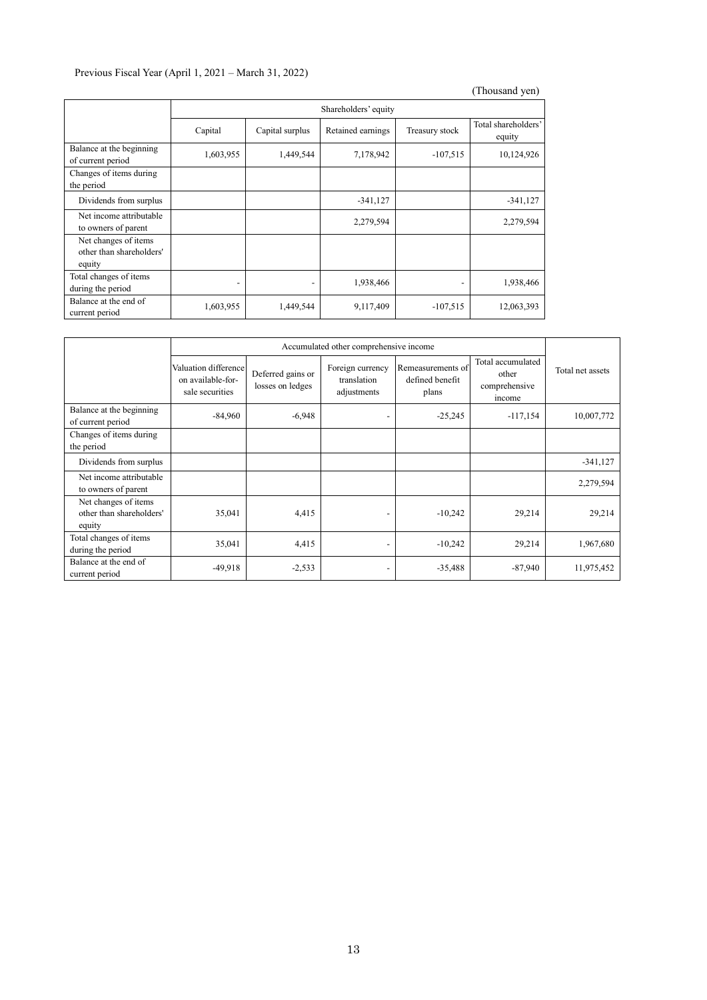## Previous Fiscal Year (April 1, 2021 – March 31, 2022)

|                                                            |                          |                          |                      |                          | (Thousand yen)                |
|------------------------------------------------------------|--------------------------|--------------------------|----------------------|--------------------------|-------------------------------|
|                                                            |                          |                          | Shareholders' equity |                          |                               |
|                                                            | Capital                  | Capital surplus          | Retained earnings    | Treasury stock           | Total shareholders'<br>equity |
| Balance at the beginning<br>of current period              | 1,603,955                | 1,449,544                | 7,178,942            | $-107,515$               | 10,124,926                    |
| Changes of items during<br>the period                      |                          |                          |                      |                          |                               |
| Dividends from surplus                                     |                          |                          | $-341,127$           |                          | $-341,127$                    |
| Net income attributable<br>to owners of parent             |                          |                          | 2,279,594            |                          | 2,279,594                     |
| Net changes of items<br>other than shareholders'<br>equity |                          |                          |                      |                          |                               |
| Total changes of items<br>during the period                | $\overline{\phantom{a}}$ | $\overline{\phantom{a}}$ | 1,938,466            | $\overline{\phantom{a}}$ | 1,938,466                     |
| Balance at the end of<br>current period                    | 1,603,955                | 1,449,544                | 9,117,409            | $-107,515$               | 12,063,393                    |

|                                                            | Accumulated other comprehensive income                       |                                       |                                                |                                               |                                                       |                  |
|------------------------------------------------------------|--------------------------------------------------------------|---------------------------------------|------------------------------------------------|-----------------------------------------------|-------------------------------------------------------|------------------|
|                                                            | Valuation difference<br>on available-for-<br>sale securities | Deferred gains or<br>losses on ledges | Foreign currency<br>translation<br>adjustments | Remeasurements of<br>defined benefit<br>plans | Total accumulated<br>other<br>comprehensive<br>income | Total net assets |
| Balance at the beginning<br>of current period              | $-84,960$                                                    | $-6,948$                              |                                                | $-25,245$                                     | $-117,154$                                            | 10,007,772       |
| Changes of items during<br>the period                      |                                                              |                                       |                                                |                                               |                                                       |                  |
| Dividends from surplus                                     |                                                              |                                       |                                                |                                               |                                                       | $-341,127$       |
| Net income attributable<br>to owners of parent             |                                                              |                                       |                                                |                                               |                                                       | 2,279,594        |
| Net changes of items<br>other than shareholders'<br>equity | 35,041                                                       | 4,415                                 |                                                | $-10,242$                                     | 29,214                                                | 29,214           |
| Total changes of items<br>during the period                | 35,041                                                       | 4,415                                 | $\overline{\phantom{0}}$                       | $-10,242$                                     | 29,214                                                | 1,967,680        |
| Balance at the end of<br>current period                    | -49,918                                                      | $-2,533$                              |                                                | $-35,488$                                     | $-87,940$                                             | 11,975,452       |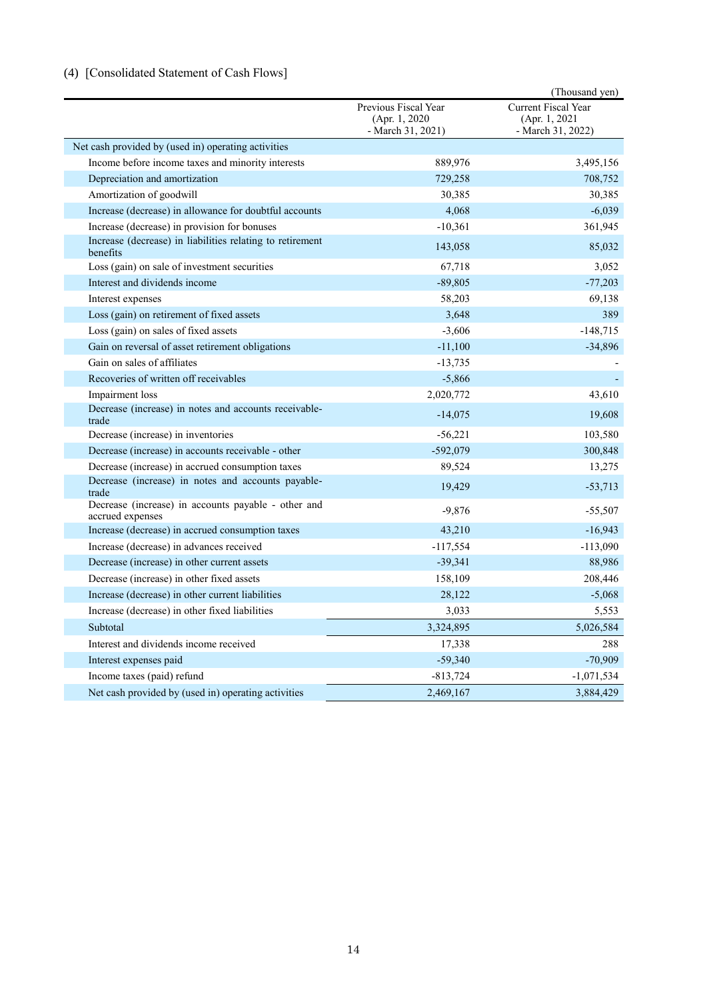# (4) [Consolidated Statement of Cash Flows]

|                                                                         |                                                             | (Thousand yen)                                                    |
|-------------------------------------------------------------------------|-------------------------------------------------------------|-------------------------------------------------------------------|
|                                                                         | Previous Fiscal Year<br>(Apr. 1, 2020)<br>- March 31, 2021) | <b>Current Fiscal Year</b><br>(Apr. 1, 2021)<br>- March 31, 2022) |
| Net cash provided by (used in) operating activities                     |                                                             |                                                                   |
| Income before income taxes and minority interests                       | 889,976                                                     | 3,495,156                                                         |
| Depreciation and amortization                                           | 729,258                                                     | 708,752                                                           |
| Amortization of goodwill                                                | 30,385                                                      | 30,385                                                            |
| Increase (decrease) in allowance for doubtful accounts                  | 4,068                                                       | $-6,039$                                                          |
| Increase (decrease) in provision for bonuses                            | $-10,361$                                                   | 361,945                                                           |
| Increase (decrease) in liabilities relating to retirement<br>benefits   | 143,058                                                     | 85,032                                                            |
| Loss (gain) on sale of investment securities                            | 67,718                                                      | 3,052                                                             |
| Interest and dividends income                                           | $-89,805$                                                   | $-77,203$                                                         |
| Interest expenses                                                       | 58,203                                                      | 69,138                                                            |
| Loss (gain) on retirement of fixed assets                               | 3,648                                                       | 389                                                               |
| Loss (gain) on sales of fixed assets                                    | $-3,606$                                                    | $-148,715$                                                        |
| Gain on reversal of asset retirement obligations                        | $-11,100$                                                   | $-34,896$                                                         |
| Gain on sales of affiliates                                             | $-13,735$                                                   |                                                                   |
| Recoveries of written off receivables                                   | $-5,866$                                                    |                                                                   |
| Impairment loss                                                         | 2,020,772                                                   | 43,610                                                            |
| Decrease (increase) in notes and accounts receivable-<br>trade          | $-14,075$                                                   | 19,608                                                            |
| Decrease (increase) in inventories                                      | $-56,221$                                                   | 103,580                                                           |
| Decrease (increase) in accounts receivable - other                      | $-592,079$                                                  | 300,848                                                           |
| Decrease (increase) in accrued consumption taxes                        | 89,524                                                      | 13,275                                                            |
| Decrease (increase) in notes and accounts payable-<br>trade             | 19,429                                                      | $-53,713$                                                         |
| Decrease (increase) in accounts payable - other and<br>accrued expenses | $-9,876$                                                    | $-55,507$                                                         |
| Increase (decrease) in accrued consumption taxes                        | 43,210                                                      | $-16,943$                                                         |
| Increase (decrease) in advances received                                | $-117,554$                                                  | $-113,090$                                                        |
| Decrease (increase) in other current assets                             | $-39,341$                                                   | 88,986                                                            |
| Decrease (increase) in other fixed assets                               | 158,109                                                     | 208,446                                                           |
| Increase (decrease) in other current liabilities                        | 28,122                                                      | $-5,068$                                                          |
| Increase (decrease) in other fixed liabilities                          | 3,033                                                       | 5,553                                                             |
| Subtotal                                                                | 3,324,895                                                   | 5,026,584                                                         |
| Interest and dividends income received                                  | 17,338                                                      | 288                                                               |
| Interest expenses paid                                                  | $-59,340$                                                   | $-70,909$                                                         |
| Income taxes (paid) refund                                              | $-813,724$                                                  | $-1,071,534$                                                      |
| Net cash provided by (used in) operating activities                     | 2,469,167                                                   | 3,884,429                                                         |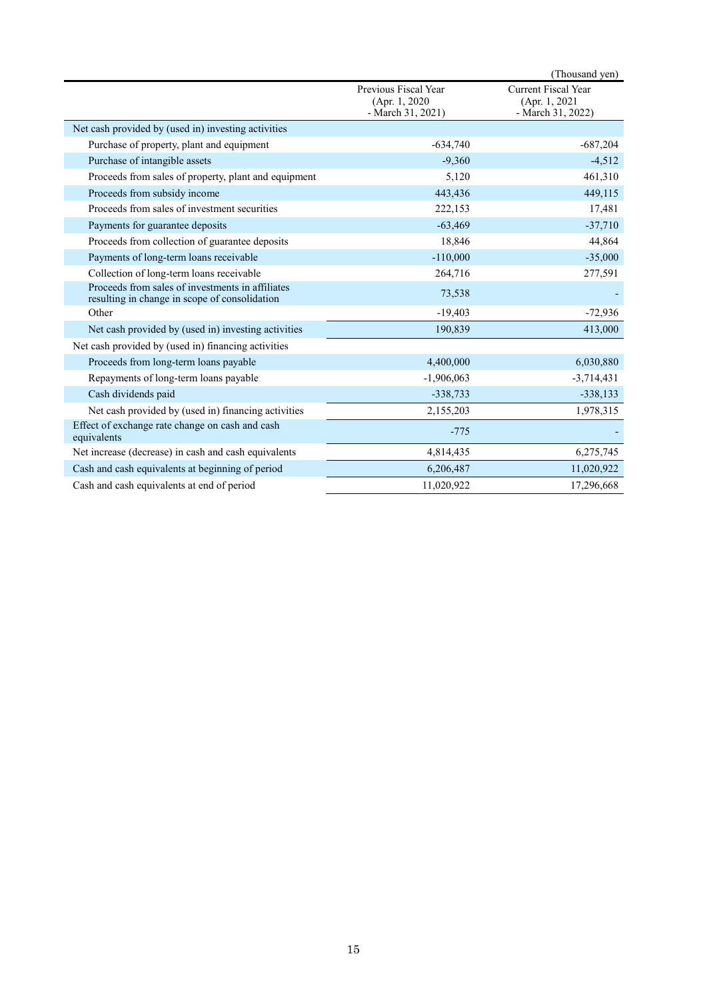|                                                                                                   |                                                             | (Thousand yen)                                                    |
|---------------------------------------------------------------------------------------------------|-------------------------------------------------------------|-------------------------------------------------------------------|
|                                                                                                   | Previous Fiscal Year<br>(Apr. 1, 2020)<br>- March 31, 2021) | <b>Current Fiscal Year</b><br>(Apr. 1, 2021)<br>- March 31, 2022) |
| Net cash provided by (used in) investing activities                                               |                                                             |                                                                   |
| Purchase of property, plant and equipment                                                         | $-634,740$                                                  | $-687,204$                                                        |
| Purchase of intangible assets                                                                     | $-9,360$                                                    | $-4,512$                                                          |
| Proceeds from sales of property, plant and equipment                                              | 5,120                                                       | 461,310                                                           |
| Proceeds from subsidy income                                                                      | 443,436                                                     | 449,115                                                           |
| Proceeds from sales of investment securities                                                      | 222,153                                                     | 17,481                                                            |
| Payments for guarantee deposits                                                                   | $-63,469$                                                   | $-37,710$                                                         |
| Proceeds from collection of guarantee deposits                                                    | 18,846                                                      | 44,864                                                            |
| Payments of long-term loans receivable                                                            | $-110,000$                                                  | $-35,000$                                                         |
| Collection of long-term loans receivable                                                          | 264,716                                                     | 277,591                                                           |
| Proceeds from sales of investments in affiliates<br>resulting in change in scope of consolidation | 73,538                                                      |                                                                   |
| Other                                                                                             | $-19,403$                                                   | $-72,936$                                                         |
| Net cash provided by (used in) investing activities                                               | 190,839                                                     | 413,000                                                           |
| Net cash provided by (used in) financing activities                                               |                                                             |                                                                   |
| Proceeds from long-term loans payable                                                             | 4,400,000                                                   | 6,030,880                                                         |
| Repayments of long-term loans payable                                                             | $-1,906,063$                                                | $-3,714,431$                                                      |
| Cash dividends paid                                                                               | $-338,733$                                                  | $-338,133$                                                        |
| Net cash provided by (used in) financing activities                                               | 2,155,203                                                   | 1,978,315                                                         |
| Effect of exchange rate change on cash and cash<br>equivalents                                    | $-775$                                                      |                                                                   |
| Net increase (decrease) in cash and cash equivalents                                              | 4,814,435                                                   | 6,275,745                                                         |
| Cash and cash equivalents at beginning of period                                                  | 6,206,487                                                   | 11,020,922                                                        |
| Cash and cash equivalents at end of period                                                        | 11,020,922                                                  | 17,296,668                                                        |